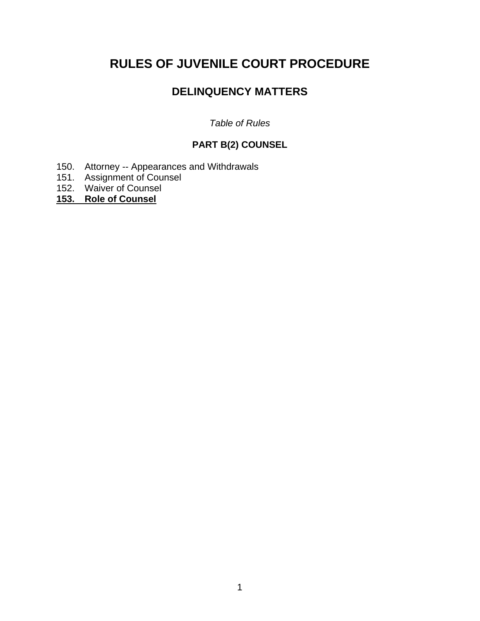# **RULES OF JUVENILE COURT PROCEDURE**

## **DELINQUENCY MATTERS**

## *Table of Rules*

## **PART B(2) COUNSEL**

- 150. Attorney -- Appearances and Withdrawals
- 151. Assignment of Counsel
- 152. Waiver of Counsel
- **153. Role of Counsel**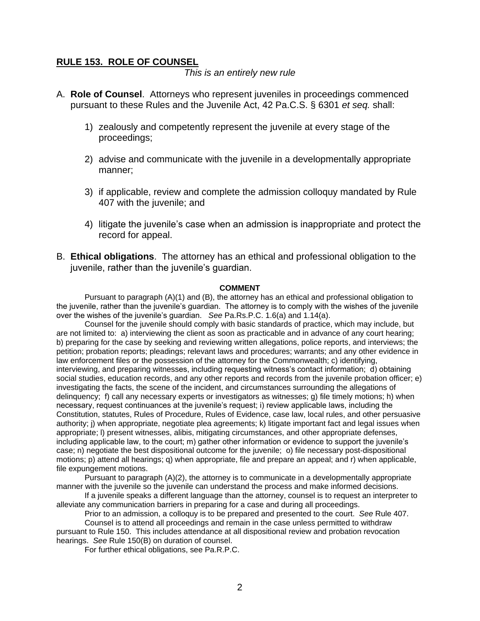### **RULE 153. ROLE OF COUNSEL**

*This is an entirely new rule*

- A. **Role of Counsel**. Attorneys who represent juveniles in proceedings commenced pursuant to these Rules and the Juvenile Act, 42 Pa.C.S. § 6301 *et seq.* shall:
	- 1) zealously and competently represent the juvenile at every stage of the proceedings;
	- 2) advise and communicate with the juvenile in a developmentally appropriate manner;
	- 3) if applicable, review and complete the admission colloquy mandated by Rule 407 with the juvenile; and
	- 4) litigate the juvenile's case when an admission is inappropriate and protect the record for appeal.
- B. **Ethical obligations**. The attorney has an ethical and professional obligation to the juvenile, rather than the juvenile's guardian.

#### **COMMENT**

Pursuant to paragraph (A)(1) and (B), the attorney has an ethical and professional obligation to the juvenile, rather than the juvenile's guardian. The attorney is to comply with the wishes of the juvenile over the wishes of the juvenile's guardian. *See* Pa.Rs.P.C. 1.6(a) and 1.14(a).

Counsel for the juvenile should comply with basic standards of practice, which may include, but are not limited to: a) interviewing the client as soon as practicable and in advance of any court hearing; b) preparing for the case by seeking and reviewing written allegations, police reports, and interviews; the petition; probation reports; pleadings; relevant laws and procedures; warrants; and any other evidence in law enforcement files or the possession of the attorney for the Commonwealth; c) identifying, interviewing, and preparing witnesses, including requesting witness's contact information; d) obtaining social studies, education records, and any other reports and records from the juvenile probation officer; e) investigating the facts, the scene of the incident, and circumstances surrounding the allegations of delinquency; f) call any necessary experts or investigators as witnesses; g) file timely motions; h) when necessary, request continuances at the juvenile's request; i) review applicable laws, including the Constitution, statutes, Rules of Procedure, Rules of Evidence, case law, local rules, and other persuasive authority; j) when appropriate, negotiate plea agreements; k) litigate important fact and legal issues when appropriate; l) present witnesses, alibis, mitigating circumstances, and other appropriate defenses, including applicable law, to the court; m) gather other information or evidence to support the juvenile's case; n) negotiate the best dispositional outcome for the juvenile; o) file necessary post-dispositional motions; p) attend all hearings; q) when appropriate, file and prepare an appeal; and r) when applicable, file expungement motions.

Pursuant to paragraph (A)(2), the attorney is to communicate in a developmentally appropriate manner with the juvenile so the juvenile can understand the process and make informed decisions.

If a juvenile speaks a different language than the attorney, counsel is to request an interpreter to alleviate any communication barriers in preparing for a case and during all proceedings.

Prior to an admission, a colloquy is to be prepared and presented to the court. *See* Rule 407.

Counsel is to attend all proceedings and remain in the case unless permitted to withdraw pursuant to Rule 150. This includes attendance at all dispositional review and probation revocation hearings. *See* Rule 150(B) on duration of counsel.

For further ethical obligations, see Pa.R.P.C.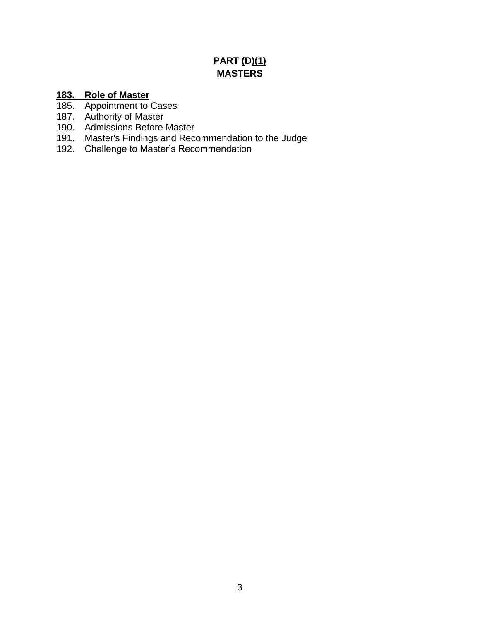## **PART (D)(1) MASTERS**

## **183. Role of Master**

- 185. Appointment to Cases
- 187. Authority of Master
- 190. Admissions Before Master
- 191. Master's Findings and Recommendation to the Judge
- 192. Challenge to Master's Recommendation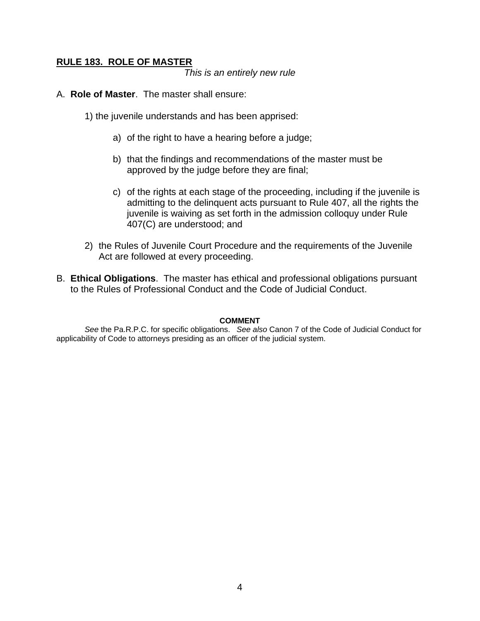## **RULE 183. ROLE OF MASTER**

*This is an entirely new rule*

- A. **Role of Master**. The master shall ensure:
	- 1) the juvenile understands and has been apprised:
		- a) of the right to have a hearing before a judge;
		- b) that the findings and recommendations of the master must be approved by the judge before they are final;
		- c) of the rights at each stage of the proceeding, including if the juvenile is admitting to the delinquent acts pursuant to Rule 407, all the rights the juvenile is waiving as set forth in the admission colloquy under Rule 407(C) are understood; and
	- 2) the Rules of Juvenile Court Procedure and the requirements of the Juvenile Act are followed at every proceeding.
- B. **Ethical Obligations**. The master has ethical and professional obligations pursuant to the Rules of Professional Conduct and the Code of Judicial Conduct.

#### **COMMENT**

*See* the Pa.R.P.C. for specific obligations. *See also* Canon 7 of the Code of Judicial Conduct for applicability of Code to attorneys presiding as an officer of the judicial system.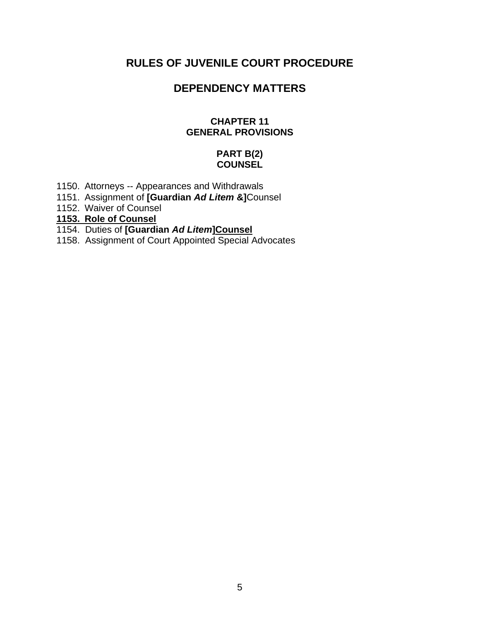## **RULES OF JUVENILE COURT PROCEDURE**

## **DEPENDENCY MATTERS**

## **CHAPTER 11 GENERAL PROVISIONS**

## **PART B(2) COUNSEL**

- 1150. Attorneys -- Appearances and Withdrawals
- 1151. Assignment of **[Guardian** *Ad Litem* **&]**Counsel
- 1152. Waiver of Counsel
- **1153. Role of Counsel**
- 1154. Duties of **[Guardian** *Ad Litem***]Counsel**
- 1158. Assignment of Court Appointed Special Advocates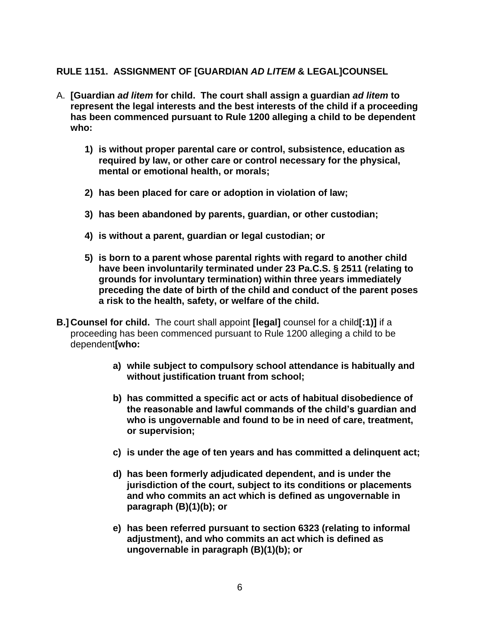## **RULE 1151. ASSIGNMENT OF [GUARDIAN** *AD LITEM* **& LEGAL]COUNSEL**

- A. **[Guardian** *ad litem* **for child. The court shall assign a guardian** *ad litem* **to represent the legal interests and the best interests of the child if a proceeding has been commenced pursuant to Rule 1200 alleging a child to be dependent who:**
	- **1) is without proper parental care or control, subsistence, education as required by law, or other care or control necessary for the physical, mental or emotional health, or morals;**
	- **2) has been placed for care or adoption in violation of law;**
	- **3) has been abandoned by parents, guardian, or other custodian;**
	- **4) is without a parent, guardian or legal custodian; or**
	- **5) is born to a parent whose parental rights with regard to another child have been involuntarily terminated under 23 Pa.C.S. § 2511 (relating to grounds for involuntary termination) within three years immediately preceding the date of birth of the child and conduct of the parent poses a risk to the health, safety, or welfare of the child.**
- **B.] Counsel for child.** The court shall appoint **[legal]** counsel for a child**[:1)]** if a proceeding has been commenced pursuant to Rule 1200 alleging a child to be dependent**[who:**
	- **a) while subject to compulsory school attendance is habitually and without justification truant from school;**
	- **b) has committed a specific act or acts of habitual disobedience of the reasonable and lawful commands of the child's guardian and who is ungovernable and found to be in need of care, treatment, or supervision;**
	- **c) is under the age of ten years and has committed a delinquent act;**
	- **d) has been formerly adjudicated dependent, and is under the jurisdiction of the court, subject to its conditions or placements and who commits an act which is defined as ungovernable in paragraph (B)(1)(b); or**
	- **e) has been referred pursuant to section 6323 (relating to informal adjustment), and who commits an act which is defined as ungovernable in paragraph (B)(1)(b); or**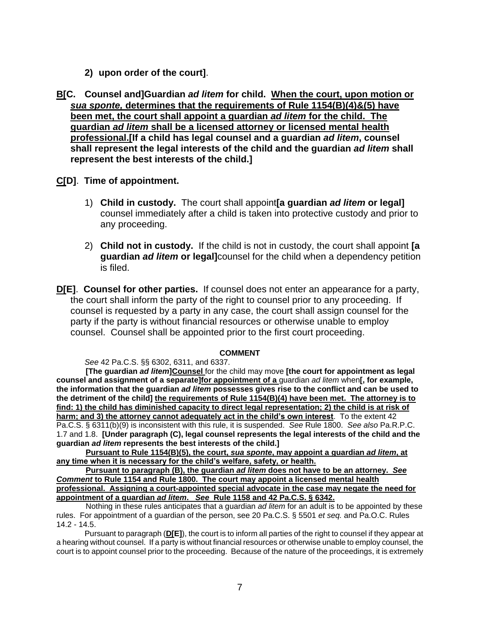- **2) upon order of the court]**.
- **B[C. Counsel and]Guardian** *ad litem* **for child. When the court, upon motion or** *sua sponte,* **determines that the requirements of Rule 1154(B)(4)&(5) have been met, the court shall appoint a guardian** *ad litem* **for the child. The guardian** *ad litem* **shall be a licensed attorney or licensed mental health professional.[If a child has legal counsel and a guardian** *ad litem***, counsel shall represent the legal interests of the child and the guardian** *ad litem* **shall represent the best interests of the child.]**
- **C[D]**. **Time of appointment.**
	- 1) **Child in custody.** The court shall appoint**[a guardian** *ad litem* **or legal]**  counsel immediately after a child is taken into protective custody and prior to any proceeding.
	- 2) **Child not in custody.** If the child is not in custody, the court shall appoint **[a guardian** *ad litem* **or legal]**counsel for the child when a dependency petition is filed.
- **D[E]**. **Counsel for other parties.** If counsel does not enter an appearance for a party, the court shall inform the party of the right to counsel prior to any proceeding. If counsel is requested by a party in any case, the court shall assign counsel for the party if the party is without financial resources or otherwise unable to employ counsel. Counsel shall be appointed prior to the first court proceeding.

#### **COMMENT**

*See* 42 Pa.C.S. §§ 6302, 6311, and 6337.

**[The guardian** *ad litem***]Counsel** for the child may move **[the court for appointment as legal counsel and assignment of a separate]for appointment of a** guardian *ad litem* when**[, for example, the information that the guardian** *ad litem* **possesses gives rise to the conflict and can be used to the detriment of the child] the requirements of Rule 1154(B)(4) have been met. The attorney is to find: 1) the child has diminished capacity to direct legal representation; 2) the child is at risk of harm; and 3) the attorney cannot adequately act in the child's own interest**. To the extent 42 Pa.C.S. § 6311(b)(9) is inconsistent with this rule, it is suspended. *See* Rule 1800. *See also* Pa.R.P.C. 1.7 and 1.8. **[Under paragraph (C), legal counsel represents the legal interests of the child and the guardian** *ad litem* **represents the best interests of the child.]** 

**Pursuant to Rule 1154(B)(5), the court,** *sua sponte***, may appoint a guardian** *ad litem***, at any time when it is necessary for the child's welfare, safety, or health.** 

**Pursuant to paragraph (B), the guardian** *ad litem* **does not have to be an attorney.** *See Comment* **to Rule 1154 and Rule 1800. The court may appoint a licensed mental health professional. Assigning a court-appointed special advocate in the case may negate the need for appointment of a guardian** *ad litem***.** *See* **Rule 1158 and 42 Pa.C.S. § 6342.** 

Nothing in these rules anticipates that a guardian *ad litem* for an adult is to be appointed by these rules. For appointment of a guardian of the person, see 20 Pa.C.S. § 5501 *et seq.* and Pa.O.C. Rules 14.2 - 14.5.

Pursuant to paragraph (**D[E]**), the court is to inform all parties of the right to counsel if they appear at a hearing without counsel. If a party is without financial resources or otherwise unable to employ counsel, the court is to appoint counsel prior to the proceeding. Because of the nature of the proceedings, it is extremely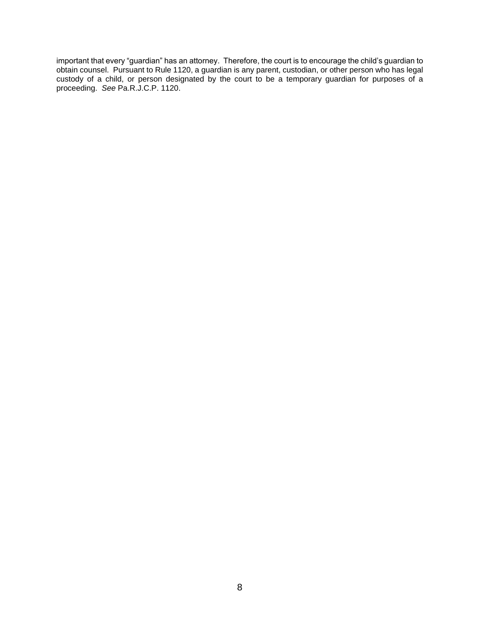important that every "guardian" has an attorney. Therefore, the court is to encourage the child's guardian to obtain counsel. Pursuant to Rule 1120, a guardian is any parent, custodian, or other person who has legal custody of a child, or person designated by the court to be a temporary guardian for purposes of a proceeding. *See* Pa.R.J.C.P. 1120.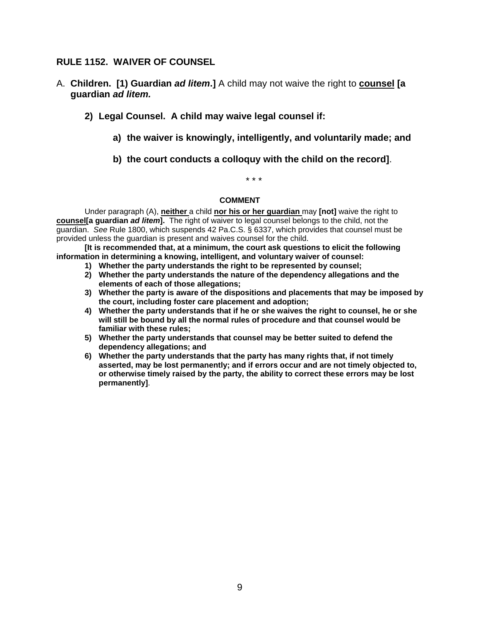### **RULE 1152. WAIVER OF COUNSEL**

- A. **Children. [1) Guardian** *ad litem***.]** A child may not waive the right to **counsel [a guardian** *ad litem.*
	- **2) Legal Counsel. A child may waive legal counsel if:**
		- **a) the waiver is knowingly, intelligently, and voluntarily made; and**
		- **b) the court conducts a colloquy with the child on the record]**.

\* \* \*

#### **COMMENT**

Under paragraph (A), **neither** a child **nor his or her guardian** may **[not]** waive the right to **counsel[a guardian** *ad litem***].** The right of waiver to legal counsel belongs to the child, not the guardian.*See* Rule 1800, which suspends 42 Pa.C.S. § 6337, which provides that counsel must be provided unless the guardian is present and waives counsel for the child.

**[It is recommended that, at a minimum, the court ask questions to elicit the following information in determining a knowing, intelligent, and voluntary waiver of counsel:**

- **1) Whether the party understands the right to be represented by counsel;**
- **2) Whether the party understands the nature of the dependency allegations and the elements of each of those allegations;**
- **3) Whether the party is aware of the dispositions and placements that may be imposed by the court, including foster care placement and adoption;**
- **4) Whether the party understands that if he or she waives the right to counsel, he or she will still be bound by all the normal rules of procedure and that counsel would be familiar with these rules;**
- **5) Whether the party understands that counsel may be better suited to defend the dependency allegations; and**
- **6) Whether the party understands that the party has many rights that, if not timely asserted, may be lost permanently; and if errors occur and are not timely objected to, or otherwise timely raised by the party, the ability to correct these errors may be lost permanently]**.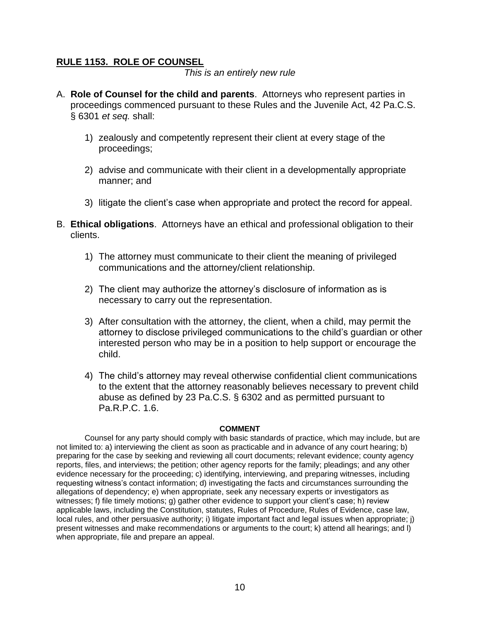## **RULE 1153. ROLE OF COUNSEL**

*This is an entirely new rule*

- A. **Role of Counsel for the child and parents**. Attorneys who represent parties in proceedings commenced pursuant to these Rules and the Juvenile Act, 42 Pa.C.S. § 6301 *et seq.* shall:
	- 1) zealously and competently represent their client at every stage of the proceedings;
	- 2) advise and communicate with their client in a developmentally appropriate manner; and
	- 3) litigate the client's case when appropriate and protect the record for appeal.
- B. **Ethical obligations**. Attorneys have an ethical and professional obligation to their clients.
	- 1) The attorney must communicate to their client the meaning of privileged communications and the attorney/client relationship.
	- 2) The client may authorize the attorney's disclosure of information as is necessary to carry out the representation.
	- 3) After consultation with the attorney, the client, when a child, may permit the attorney to disclose privileged communications to the child's guardian or other interested person who may be in a position to help support or encourage the child.
	- 4) The child's attorney may reveal otherwise confidential client communications to the extent that the attorney reasonably believes necessary to prevent child abuse as defined by 23 Pa.C.S. § 6302 and as permitted pursuant to Pa.R.P.C. 1.6.

#### **COMMENT**

Counsel for any party should comply with basic standards of practice, which may include, but are not limited to: a) interviewing the client as soon as practicable and in advance of any court hearing; b) preparing for the case by seeking and reviewing all court documents; relevant evidence; county agency reports, files, and interviews; the petition; other agency reports for the family; pleadings; and any other evidence necessary for the proceeding; c) identifying, interviewing, and preparing witnesses, including requesting witness's contact information; d) investigating the facts and circumstances surrounding the allegations of dependency; e) when appropriate, seek any necessary experts or investigators as witnesses; f) file timely motions; g) gather other evidence to support your client's case; h) review applicable laws, including the Constitution, statutes, Rules of Procedure, Rules of Evidence, case law, local rules, and other persuasive authority; i) litigate important fact and legal issues when appropriate; j) present witnesses and make recommendations or arguments to the court; k) attend all hearings; and l) when appropriate, file and prepare an appeal.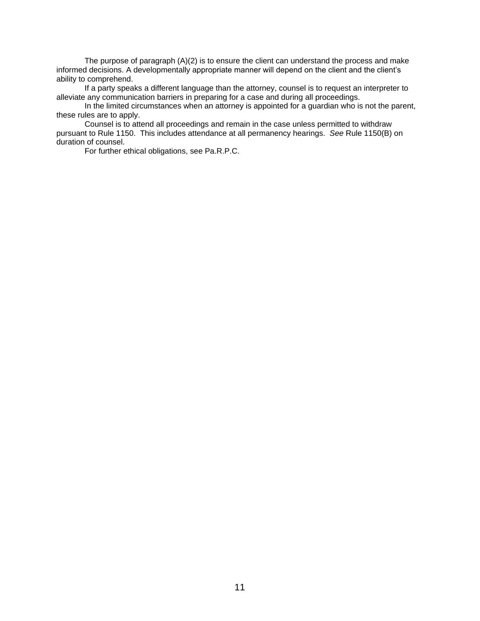The purpose of paragraph (A)(2) is to ensure the client can understand the process and make informed decisions. A developmentally appropriate manner will depend on the client and the client's ability to comprehend.

If a party speaks a different language than the attorney, counsel is to request an interpreter to alleviate any communication barriers in preparing for a case and during all proceedings.

In the limited circumstances when an attorney is appointed for a guardian who is not the parent, these rules are to apply.

Counsel is to attend all proceedings and remain in the case unless permitted to withdraw pursuant to Rule 1150. This includes attendance at all permanency hearings. *See* Rule 1150(B) on duration of counsel.

For further ethical obligations, see Pa.R.P.C.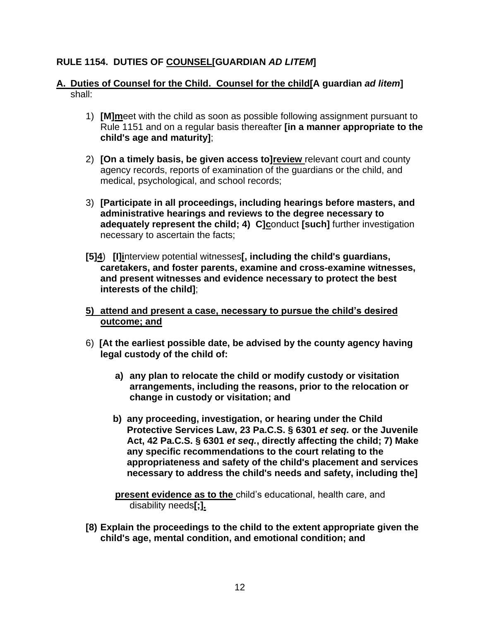## **RULE 1154. DUTIES OF COUNSEL[GUARDIAN** *AD LITEM***]**

## **A. Duties of Counsel for the Child. Counsel for the child[A guardian** *ad litem***]**  shall:

- 1) **[M]m**eet with the child as soon as possible following assignment pursuant to Rule 1151 and on a regular basis thereafter **[in a manner appropriate to the child's age and maturity]**;
- 2) **[On a timely basis, be given access to]review** relevant court and county agency records, reports of examination of the guardians or the child, and medical, psychological, and school records;
- 3) **[Participate in all proceedings, including hearings before masters, and administrative hearings and reviews to the degree necessary to adequately represent the child; 4) C]c**onduct **[such]** further investigation necessary to ascertain the facts;
- **[5]4**) **[I]i**nterview potential witnesses**[, including the child's guardians, caretakers, and foster parents, examine and cross-examine witnesses, and present witnesses and evidence necessary to protect the best interests of the child]**;
- **5) attend and present a case, necessary to pursue the child's desired outcome; and**
- 6) **[At the earliest possible date, be advised by the county agency having legal custody of the child of:**
	- **a) any plan to relocate the child or modify custody or visitation arrangements, including the reasons, prior to the relocation or change in custody or visitation; and**
	- **b) any proceeding, investigation, or hearing under the Child Protective Services Law, 23 Pa.C.S. § 6301** *et seq.* **or the Juvenile Act, 42 Pa.C.S. § 6301** *et seq.***, directly affecting the child; 7) Make any specific recommendations to the court relating to the appropriateness and safety of the child's placement and services necessary to address the child's needs and safety, including the]**

**present evidence as to the** child's educational, health care, and disability needs**[;].**

**[8) Explain the proceedings to the child to the extent appropriate given the child's age, mental condition, and emotional condition; and**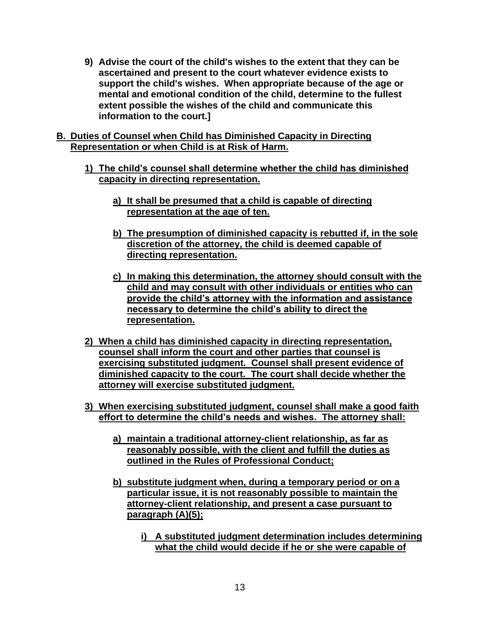- **9) Advise the court of the child's wishes to the extent that they can be ascertained and present to the court whatever evidence exists to support the child's wishes. When appropriate because of the age or mental and emotional condition of the child, determine to the fullest extent possible the wishes of the child and communicate this information to the court.]**
- **B. Duties of Counsel when Child has Diminished Capacity in Directing Representation or when Child is at Risk of Harm.** 
	- **1) The child's counsel shall determine whether the child has diminished capacity in directing representation.** 
		- **a) It shall be presumed that a child is capable of directing representation at the age of ten.**
		- **b) The presumption of diminished capacity is rebutted if, in the sole discretion of the attorney, the child is deemed capable of directing representation.**
		- **c) In making this determination, the attorney should consult with the child and may consult with other individuals or entities who can provide the child's attorney with the information and assistance necessary to determine the child's ability to direct the representation.**
	- **2) When a child has diminished capacity in directing representation, counsel shall inform the court and other parties that counsel is exercising substituted judgment. Counsel shall present evidence of diminished capacity to the court. The court shall decide whether the attorney will exercise substituted judgment.**
	- **3) When exercising substituted judgment, counsel shall make a good faith effort to determine the child's needs and wishes. The attorney shall:**
		- **a) maintain a traditional attorney-client relationship, as far as reasonably possible, with the client and fulfill the duties as outlined in the Rules of Professional Conduct;**
		- **b) substitute judgment when, during a temporary period or on a particular issue, it is not reasonably possible to maintain the attorney-client relationship, and present a case pursuant to paragraph (A)(5);**
			- **i) A substituted judgment determination includes determining what the child would decide if he or she were capable of**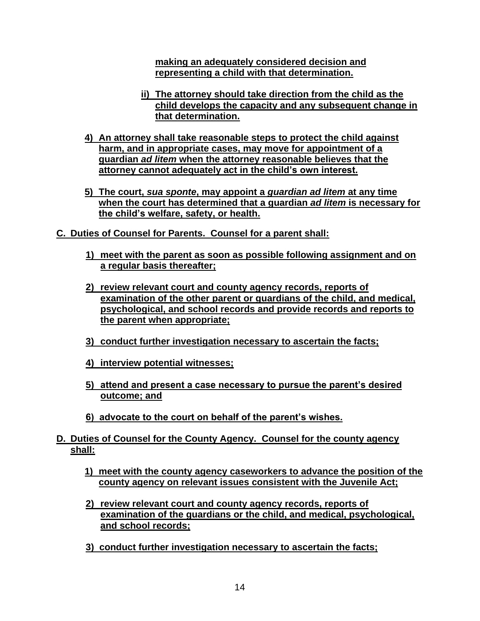**making an adequately considered decision and representing a child with that determination.**

- **ii) The attorney should take direction from the child as the child develops the capacity and any subsequent change in that determination.**
- **4) An attorney shall take reasonable steps to protect the child against harm, and in appropriate cases, may move for appointment of a guardian** *ad litem* **when the attorney reasonable believes that the attorney cannot adequately act in the child's own interest.**
- **5) The court,** *sua sponte***, may appoint a** *guardian ad litem* **at any time when the court has determined that a guardian** *ad litem* **is necessary for the child's welfare, safety, or health.**
- **C. Duties of Counsel for Parents. Counsel for a parent shall:**
	- **1) meet with the parent as soon as possible following assignment and on a regular basis thereafter;**
	- **2) review relevant court and county agency records, reports of examination of the other parent or guardians of the child, and medical, psychological, and school records and provide records and reports to the parent when appropriate;**
	- **3) conduct further investigation necessary to ascertain the facts;**
	- **4) interview potential witnesses;**
	- **5) attend and present a case necessary to pursue the parent's desired outcome; and**
	- **6) advocate to the court on behalf of the parent's wishes.**
- **D. Duties of Counsel for the County Agency. Counsel for the county agency shall:**
	- **1) meet with the county agency caseworkers to advance the position of the county agency on relevant issues consistent with the Juvenile Act;**
	- **2) review relevant court and county agency records, reports of examination of the guardians or the child, and medical, psychological, and school records;**
	- **3) conduct further investigation necessary to ascertain the facts;**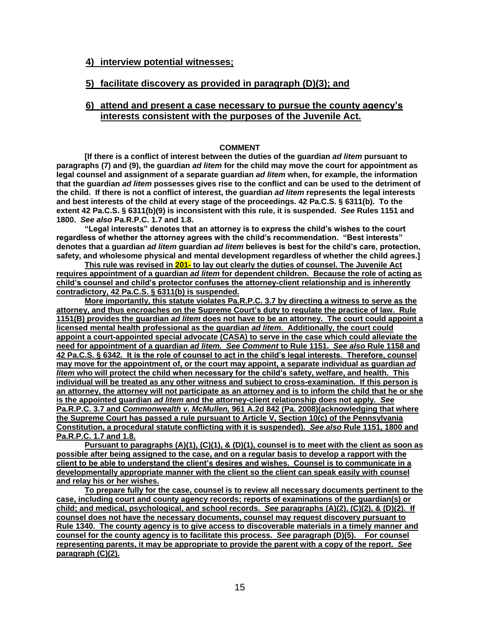#### **4) interview potential witnesses;**

### **5) facilitate discovery as provided in paragraph (D)(3); and**

#### **6) attend and present a case necessary to pursue the county agency's interests consistent with the purposes of the Juvenile Act.**

#### **COMMENT**

**[If there is a conflict of interest between the duties of the guardian** *ad litem* **pursuant to paragraphs (7) and (9), the guardian** *ad litem* **for the child may move the court for appointment as legal counsel and assignment of a separate guardian** *ad litem* **when, for example, the information that the guardian** *ad litem* **possesses gives rise to the conflict and can be used to the detriment of the child. If there is not a conflict of interest, the guardian** *ad litem* **represents the legal interests and best interests of the child at every stage of the proceedings. 42 Pa.C.S. § 6311(b). To the extent 42 Pa.C.S. § 6311(b)(9) is inconsistent with this rule, it is suspended.** *See* **Rules 1151 and 1800.** *See also* **Pa.R.P.C. 1.7 and 1.8.**

**"Legal interests" denotes that an attorney is to express the child's wishes to the court regardless of whether the attorney agrees with the child's recommendation. "Best interests" denotes that a guardian** *ad litem* **guardian** *ad litem* **believes is best for the child's care, protection, safety, and wholesome physical and mental development regardless of whether the child agrees.]** 

**This rule was revised in 201- to lay out clearly the duties of counsel. The Juvenile Act requires appointment of a guardian** *ad litem* **for dependent children. Because the role of acting as child's counsel and child's protector confuses the attorney-client relationship and is inherently contradictory, 42 Pa.C.S. § 6311(b) is suspended.** 

**More importantly, this statute violates Pa.R.P.C. 3.7 by directing a witness to serve as the attorney, and thus encroaches on the Supreme Court's duty to regulate the practice of law. Rule 1151(B) provides the guardian** *ad litem* **does not have to be an attorney. The court could appoint a licensed mental health professional as the guardian** *ad litem.* **Additionally, the court could appoint a court-appointed special advocate (CASA) to serve in the case which could alleviate the need for appointment of a guardian** *ad litem. See Comment* **to Rule 1151.** *See also* **Rule 1158 and 42 Pa.C.S. § 6342. It is the role of counsel to act in the child's legal interests. Therefore, counsel may move for the appointment of, or the court may appoint, a separate individual as guardian** *ad litem* **who will protect the child when necessary for the child's safety, welfare, and health. This individual will be treated as any other witness and subject to cross-examination. If this person is an attorney, the attorney will not participate as an attorney and is to inform the child that he or she is the appointed guardian** *ad litem* **and the attorney-client relationship does not apply***. See*  **Pa.R.P.C. 3.7 and** *Commonwealth v. McMullen,* **961 A.2d 842 (Pa. 2008)(acknowledging that where the Supreme Court has passed a rule pursuant to Article V, Section 10(c) of the Pennsylvania Constitution, a procedural statute conflicting with it is suspended).** *See also* **Rule 1151, 1800 and Pa.R.P.C. 1.7 and 1.8.** 

**Pursuant to paragraphs (A)(1), (C)(1), & (D)(1), counsel is to meet with the client as soon as possible after being assigned to the case, and on a regular basis to develop a rapport with the client to be able to understand the client's desires and wishes. Counsel is to communicate in a developmentally appropriate manner with the client so the client can speak easily with counsel and relay his or her wishes.**

**To prepare fully for the case, counsel is to review all necessary documents pertinent to the case, including court and county agency records; reports of examinations of the guardian(s) or child; and medical, psychological, and school records.** *See* **paragraphs (A)(2), (C)(2), & (D)(2). If counsel does not have the necessary documents, counsel may request discovery pursuant to Rule 1340. The county agency is to give access to discoverable materials in a timely manner and counsel for the county agency is to facilitate this process.** *See* **paragraph (D)(5). For counsel representing parents, it may be appropriate to provide the parent with a copy of the report.** *See*  **paragraph (C)(2).**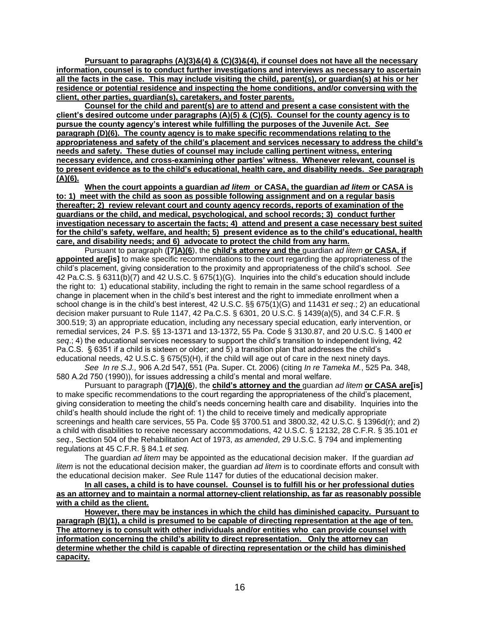**Pursuant to paragraphs (A)(3)&(4) & (C)(3)&(4), if counsel does not have all the necessary information, counsel is to conduct further investigations and interviews as necessary to ascertain all the facts in the case. This may include visiting the child, parent(s), or guardian(s) at his or her residence or potential residence and inspecting the home conditions, and/or conversing with the client, other parties, guardian(s), caretakers, and foster parents.**

**Counsel for the child and parent(s) are to attend and present a case consistent with the client's desired outcome under paragraphs (A)(5) & (C)(5). Counsel for the county agency is to pursue the county agency's interest while fulfilling the purposes of the Juvenile Act.** *See*  **paragraph (D)(6). The county agency is to make specific recommendations relating to the appropriateness and safety of the child's placement and services necessary to address the child's needs and safety. These duties of counsel may include calling pertinent witness, entering necessary evidence, and cross-examining other parties' witness. Whenever relevant, counsel is to present evidence as to the child's educational, health care, and disability needs.** *See* **paragraph (A)(6).**

**When the court appoints a guardian** *ad litem* **or CASA, the guardian** *ad litem* **or CASA is to: 1) meet with the child as soon as possible following assignment and on a regular basis thereafter; 2) review relevant court and county agency records, reports of examination of the guardians or the child, and medical, psychological, and school records; 3) conduct further investigation necessary to ascertain the facts; 4) attend and present a case necessary best suited for the child's safety, welfare, and health; 5) present evidence as to the child's educational, health care, and disability needs; and 6) advocate to protect the child from any harm.**

Pursuant to paragraph (**[7]A)(6**), the **child's attorney and the** guardian *ad litem* **or CASA, if appointed are[is]** to make specific recommendations to the court regarding the appropriateness of the child's placement, giving consideration to the proximity and appropriateness of the child's school. *See*  42 Pa.C.S. § 6311(b)(7) and 42 U.S.C. § 675(1)(G). Inquiries into the child's education should include the right to: 1) educational stability, including the right to remain in the same school regardless of a change in placement when in the child's best interest and the right to immediate enrollment when a school change is in the child's best interest, 42 U.S.C. §§ 675(1)(G) and 11431 *et seq*.; 2) an educational decision maker pursuant to Rule 1147, 42 Pa.C.S. § 6301, 20 U.S.C. § 1439(a)(5), and 34 C.F.R. § 300.519; 3) an appropriate education, including any necessary special education, early intervention, or remedial services, 24 P.S. §§ 13-1371 and 13-1372, 55 Pa. Code § 3130.87, and 20 U.S.C. § 1400 *et seq*.; 4) the educational services necessary to support the child's transition to independent living, 42 Pa.C.S. § 6351 if a child is sixteen or older; and 5) a transition plan that addresses the child's educational needs, 42 U.S.C. § 675(5)(H), if the child will age out of care in the next ninety days.

*See In re S.J.,* 906 A.2d 547, 551 (Pa. Super. Ct. 2006) (citing *In re Tameka M.*, 525 Pa. 348, 580 A.2d 750 (1990)), for issues addressing a child's mental and moral welfare.

Pursuant to paragraph (**[7]A)(6**), the **child's attorney and the** guardian *ad litem* **or CASA are[is]** to make specific recommendations to the court regarding the appropriateness of the child's placement, giving consideration to meeting the child's needs concerning health care and disability. Inquiries into the child's health should include the right of: 1) the child to receive timely and medically appropriate screenings and health care services, 55 Pa. Code §§ 3700.51 and 3800.32, 42 U.S.C. § 1396d(r); and 2) a child with disabilities to receive necessary accommodations, 42 U.S.C. § 12132, 28 C.F.R. § 35.101 *et seq*., Section 504 of the Rehabilitation Act of 1973, *as amended*, 29 U.S.C. § 794 and implementing regulations at 45 C.F.R. § 84.1 *et seq.*

The guardian *ad litem* may be appointed as the educational decision maker. If the guardian *ad litem* is not the educational decision maker, the guardian *ad litem* is to coordinate efforts and consult with the educational decision maker. *See* Rule 1147 for duties of the educational decision maker.

**In all cases, a child is to have counsel. Counsel is to fulfill his or her professional duties as an attorney and to maintain a normal attorney-client relationship, as far as reasonably possible with a child as the client.** 

**However, there may be instances in which the child has diminished capacity. Pursuant to paragraph (B)(1), a child is presumed to be capable of directing representation at the age of ten. The attorney is to consult with other individuals and/or entities who can provide counsel with information concerning the child's ability to direct representation. Only the attorney can determine whether the child is capable of directing representation or the child has diminished capacity.**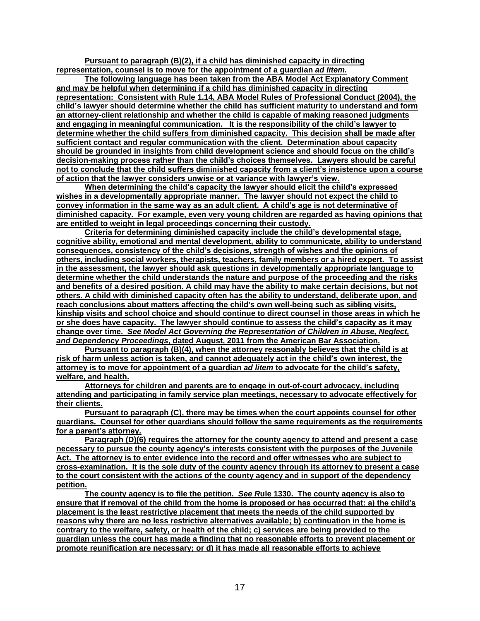**Pursuant to paragraph (B)(2), if a child has diminished capacity in directing representation, counsel is to move for the appointment of a guardian** *ad litem***.** 

**The following language has been taken from the ABA Model Act Explanatory Comment and may be helpful when determining if a child has diminished capacity in directing representation: Consistent with Rule 1.14, ABA Model Rules of Professional Conduct (2004), the child's lawyer should determine whether the child has sufficient maturity to understand and form an attorney-client relationship and whether the child is capable of making reasoned judgments and engaging in meaningful communication. It is the responsibility of the child's lawyer to determine whether the child suffers from diminished capacity. This decision shall be made after sufficient contact and regular communication with the client. Determination about capacity should be grounded in insights from child development science and should focus on the child's decision-making process rather than the child's choices themselves. Lawyers should be careful not to conclude that the child suffers diminished capacity from a client's insistence upon a course of action that the lawyer considers unwise or at variance with lawyer's view.** 

**When determining the child's capacity the lawyer should elicit the child's expressed wishes in a developmentally appropriate manner. The lawyer should not expect the child to convey information in the same way as an adult client. A child's age is not determinative of diminished capacity. For example, even very young children are regarded as having opinions that are entitled to weight in legal proceedings concerning their custody.** 

**Criteria for determining diminished capacity include the child's developmental stage, cognitive ability, emotional and mental development, ability to communicate, ability to understand consequences, consistency of the child's decisions, strength of wishes and the opinions of others, including social workers, therapists, teachers, family members or a hired expert. To assist in the assessment, the lawyer should ask questions in developmentally appropriate language to determine whether the child understands the nature and purpose of the proceeding and the risks and benefits of a desired position. A child may have the ability to make certain decisions, but not others. A child with diminished capacity often has the ability to understand, deliberate upon, and reach conclusions about matters affecting the child's own well-being such as sibling visits, kinship visits and school choice and should continue to direct counsel in those areas in which he or she does have capacity. The lawyer should continue to assess the child's capacity as it may change over time.** *See Model Act Governing the Representation of Children in Abuse, Neglect, and Dependency Proceedings***, dated August, 2011 from the American Bar Association.**

**Pursuant to paragraph (B)(4), when the attorney reasonably believes that the child is at risk of harm unless action is taken, and cannot adequately act in the child's own interest, the attorney is to move for appointment of a guardian** *ad litem* **to advocate for the child's safety, welfare, and health.** 

**Attorneys for children and parents are to engage in out-of-court advocacy, including attending and participating in family service plan meetings, necessary to advocate effectively for their clients.** 

**Pursuant to paragraph (C), there may be times when the court appoints counsel for other guardians. Counsel for other guardians should follow the same requirements as the requirements for a parent's attorney.** 

**Paragraph (D)(6) requires the attorney for the county agency to attend and present a case necessary to pursue the county agency's interests consistent with the purposes of the Juvenile Act. The attorney is to enter evidence into the record and offer witnesses who are subject to cross-examination. It is the sole duty of the county agency through its attorney to present a case to the court consistent with the actions of the county agency and in support of the dependency petition.** 

**The county agency is to file the petition.** *See R***ule 1330. The county agency is also to ensure that if removal of the child from the home is proposed or has occurred that: a) the child's placement is the least restrictive placement that meets the needs of the child supported by reasons why there are no less restrictive alternatives available; b) continuation in the home is contrary to the welfare, safety, or health of the child; c) services are being provided to the guardian unless the court has made a finding that no reasonable efforts to prevent placement or promote reunification are necessary; or d) it has made all reasonable efforts to achieve**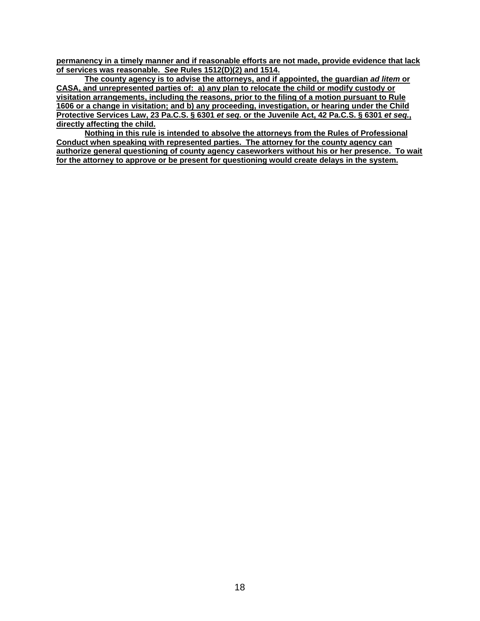**permanency in a timely manner and if reasonable efforts are not made, provide evidence that lack of services was reasonable.** *See* **Rules 1512(D)(2) and 1514.**

**The county agency is to advise the attorneys, and if appointed, the guardian** *ad litem* **or CASA, and unrepresented parties of: a) any plan to relocate the child or modify custody or visitation arrangements, including the reasons, prior to the filing of a motion pursuant to Rule 1606 or a change in visitation; and b) any proceeding, investigation, or hearing under the Child Protective Services Law, 23 Pa.C.S. § 6301** *et seq.* **or the Juvenile Act, 42 Pa.C.S. § 6301** *et seq.***, directly affecting the child.** 

**Nothing in this rule is intended to absolve the attorneys from the Rules of Professional Conduct when speaking with represented parties. The attorney for the county agency can authorize general questioning of county agency caseworkers without his or her presence. To wait for the attorney to approve or be present for questioning would create delays in the system.**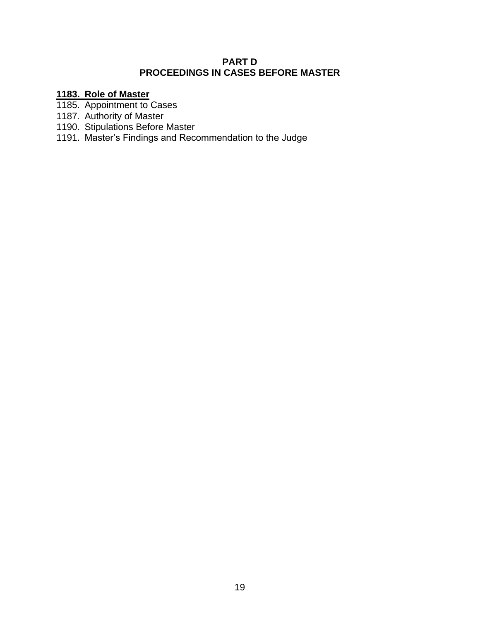## **PART D PROCEEDINGS IN CASES BEFORE MASTER**

## **1183. Role of Master**

- 1185. Appointment to Cases
- 1187. Authority of Master
- 1190. Stipulations Before Master
- 1191. Master's Findings and Recommendation to the Judge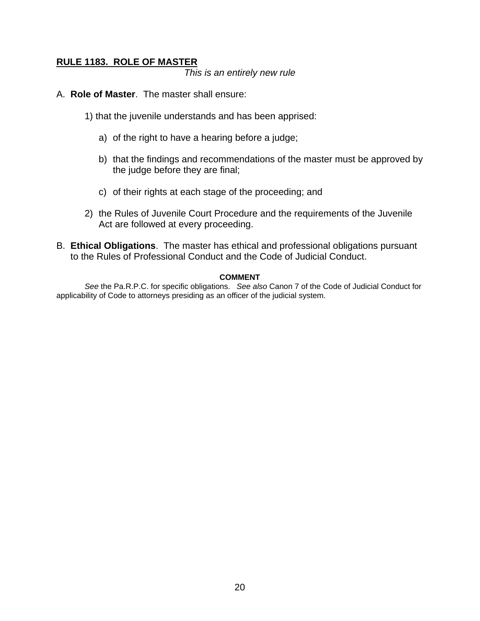## **RULE 1183. ROLE OF MASTER**

*This is an entirely new rule*

- A. **Role of Master**. The master shall ensure:
	- 1) that the juvenile understands and has been apprised:
		- a) of the right to have a hearing before a judge;
		- b) that the findings and recommendations of the master must be approved by the judge before they are final;
		- c) of their rights at each stage of the proceeding; and
	- 2) the Rules of Juvenile Court Procedure and the requirements of the Juvenile Act are followed at every proceeding.
- B. **Ethical Obligations**. The master has ethical and professional obligations pursuant to the Rules of Professional Conduct and the Code of Judicial Conduct.

#### **COMMENT**

*See* the Pa.R.P.C. for specific obligations. *See also* Canon 7 of the Code of Judicial Conduct for applicability of Code to attorneys presiding as an officer of the judicial system.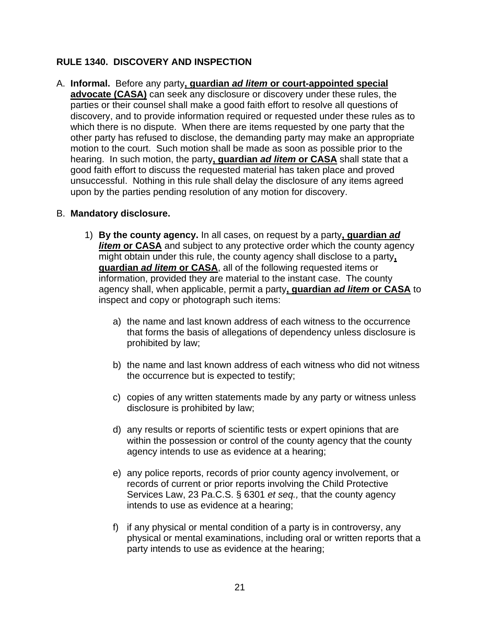## **RULE 1340. DISCOVERY AND INSPECTION**

A. **Informal.** Before any party**, guardian** *ad litem* **or court-appointed special advocate (CASA)** can seek any disclosure or discovery under these rules, the parties or their counsel shall make a good faith effort to resolve all questions of discovery, and to provide information required or requested under these rules as to which there is no dispute. When there are items requested by one party that the other party has refused to disclose, the demanding party may make an appropriate motion to the court. Such motion shall be made as soon as possible prior to the hearing. In such motion, the party**, guardian** *ad litem* **or CASA** shall state that a good faith effort to discuss the requested material has taken place and proved unsuccessful. Nothing in this rule shall delay the disclosure of any items agreed upon by the parties pending resolution of any motion for discovery.

## B. **Mandatory disclosure.**

- 1) **By the county agency.** In all cases, on request by a party**, guardian** *ad litem* or CASA and subject to any protective order which the county agency might obtain under this rule, the county agency shall disclose to a party**, guardian** *ad litem* **or CASA**, all of the following requested items or information, provided they are material to the instant case. The county agency shall, when applicable, permit a party**, guardian** *ad litem* **or CASA** to inspect and copy or photograph such items:
	- a) the name and last known address of each witness to the occurrence that forms the basis of allegations of dependency unless disclosure is prohibited by law;
	- b) the name and last known address of each witness who did not witness the occurrence but is expected to testify;
	- c) copies of any written statements made by any party or witness unless disclosure is prohibited by law;
	- d) any results or reports of scientific tests or expert opinions that are within the possession or control of the county agency that the county agency intends to use as evidence at a hearing;
	- e) any police reports, records of prior county agency involvement, or records of current or prior reports involving the Child Protective Services Law, 23 Pa.C.S. § 6301 *et seq.,* that the county agency intends to use as evidence at a hearing;
	- f) if any physical or mental condition of a party is in controversy, any physical or mental examinations, including oral or written reports that a party intends to use as evidence at the hearing;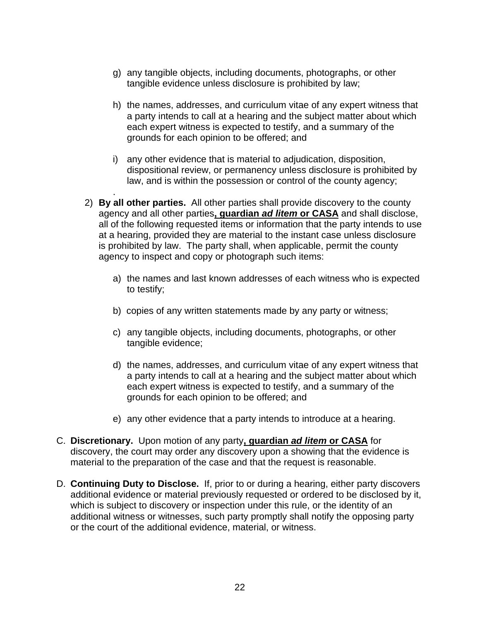- g) any tangible objects, including documents, photographs, or other tangible evidence unless disclosure is prohibited by law;
- h) the names, addresses, and curriculum vitae of any expert witness that a party intends to call at a hearing and the subject matter about which each expert witness is expected to testify, and a summary of the grounds for each opinion to be offered; and
- i) any other evidence that is material to adjudication, disposition, dispositional review, or permanency unless disclosure is prohibited by law, and is within the possession or control of the county agency;
- 2) **By all other parties.** All other parties shall provide discovery to the county agency and all other parties**, guardian** *ad litem* **or CASA** and shall disclose, all of the following requested items or information that the party intends to use at a hearing, provided they are material to the instant case unless disclosure is prohibited by law. The party shall, when applicable, permit the county agency to inspect and copy or photograph such items:

.

- a) the names and last known addresses of each witness who is expected to testify;
- b) copies of any written statements made by any party or witness;
- c) any tangible objects, including documents, photographs, or other tangible evidence;
- d) the names, addresses, and curriculum vitae of any expert witness that a party intends to call at a hearing and the subject matter about which each expert witness is expected to testify, and a summary of the grounds for each opinion to be offered; and
- e) any other evidence that a party intends to introduce at a hearing.
- C. **Discretionary.** Upon motion of any party**, guardian** *ad litem* **or CASA** for discovery, the court may order any discovery upon a showing that the evidence is material to the preparation of the case and that the request is reasonable.
- D. **Continuing Duty to Disclose.** If, prior to or during a hearing, either party discovers additional evidence or material previously requested or ordered to be disclosed by it, which is subject to discovery or inspection under this rule, or the identity of an additional witness or witnesses, such party promptly shall notify the opposing party or the court of the additional evidence, material, or witness.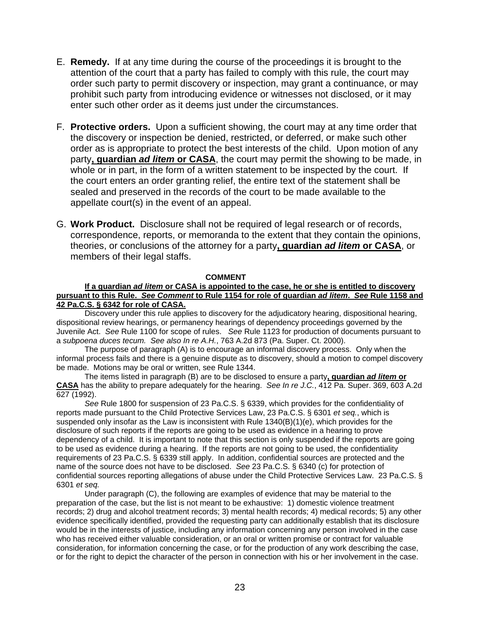- E. **Remedy.** If at any time during the course of the proceedings it is brought to the attention of the court that a party has failed to comply with this rule, the court may order such party to permit discovery or inspection, may grant a continuance, or may prohibit such party from introducing evidence or witnesses not disclosed, or it may enter such other order as it deems just under the circumstances.
- F. **Protective orders.** Upon a sufficient showing, the court may at any time order that the discovery or inspection be denied, restricted, or deferred, or make such other order as is appropriate to protect the best interests of the child. Upon motion of any party**, guardian** *ad litem* **or CASA**, the court may permit the showing to be made, in whole or in part, in the form of a written statement to be inspected by the court. If the court enters an order granting relief, the entire text of the statement shall be sealed and preserved in the records of the court to be made available to the appellate court(s) in the event of an appeal.
- G. **Work Product.** Disclosure shall not be required of legal research or of records, correspondence, reports, or memoranda to the extent that they contain the opinions, theories, or conclusions of the attorney for a party**, guardian** *ad litem* **or CASA**, or members of their legal staffs.

#### **COMMENT**

#### **If a guardian** *ad litem* **or CASA is appointed to the case, he or she is entitled to discovery pursuant to this Rule.** *See Comment* **to Rule 1154 for role of guardian** *ad litem***.** *See* **Rule 1158 and 42 Pa.C.S. § 6342 for role of CASA.**

Discovery under this rule applies to discovery for the adjudicatory hearing, dispositional hearing, dispositional review hearings, or permanency hearings of dependency proceedings governed by the Juvenile Act. *See* Rule 1100 for scope of rules. *See* Rule 1123 for production of documents pursuant to a *subpoena duces tecum. See also In re A.H.*, 763 A.2d 873 (Pa. Super. Ct. 2000).

The purpose of paragraph (A) is to encourage an informal discovery process. Only when the informal process fails and there is a genuine dispute as to discovery, should a motion to compel discovery be made. Motions may be oral or written, see Rule 1344.

The items listed in paragraph (B) are to be disclosed to ensure a party**, guardian** *ad litem* **or CASA** has the ability to prepare adequately for the hearing. *See In re J.C.*, 412 Pa. Super. 369, 603 A.2d 627 (1992).

*See* Rule 1800 for suspension of 23 Pa.C.S. § 6339, which provides for the confidentiality of reports made pursuant to the Child Protective Services Law, 23 Pa.C.S. § 6301 *et seq.*, which is suspended only insofar as the Law is inconsistent with Rule 1340(B)(1)(e), which provides for the disclosure of such reports if the reports are going to be used as evidence in a hearing to prove dependency of a child. It is important to note that this section is only suspended if the reports are going to be used as evidence during a hearing. If the reports are not going to be used, the confidentiality requirements of 23 Pa.C.S. § 6339 still apply. In addition, confidential sources are protected and the name of the source does not have to be disclosed. *See* 23 Pa.C.S. § 6340 (c) for protection of confidential sources reporting allegations of abuse under the Child Protective Services Law. 23 Pa.C.S. § 6301 *et seq.*

Under paragraph (C), the following are examples of evidence that may be material to the preparation of the case, but the list is not meant to be exhaustive: 1) domestic violence treatment records; 2) drug and alcohol treatment records; 3) mental health records; 4) medical records; 5) any other evidence specifically identified, provided the requesting party can additionally establish that its disclosure would be in the interests of justice, including any information concerning any person involved in the case who has received either valuable consideration, or an oral or written promise or contract for valuable consideration, for information concerning the case, or for the production of any work describing the case, or for the right to depict the character of the person in connection with his or her involvement in the case.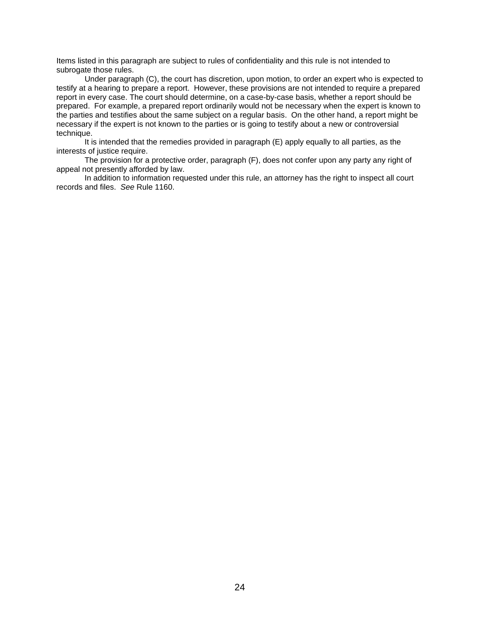Items listed in this paragraph are subject to rules of confidentiality and this rule is not intended to subrogate those rules.

Under paragraph (C), the court has discretion, upon motion, to order an expert who is expected to testify at a hearing to prepare a report. However, these provisions are not intended to require a prepared report in every case. The court should determine, on a case-by-case basis, whether a report should be prepared. For example, a prepared report ordinarily would not be necessary when the expert is known to the parties and testifies about the same subject on a regular basis. On the other hand, a report might be necessary if the expert is not known to the parties or is going to testify about a new or controversial technique.

It is intended that the remedies provided in paragraph (E) apply equally to all parties, as the interests of justice require.

The provision for a protective order, paragraph (F), does not confer upon any party any right of appeal not presently afforded by law.

In addition to information requested under this rule, an attorney has the right to inspect all court records and files. *See* Rule 1160.